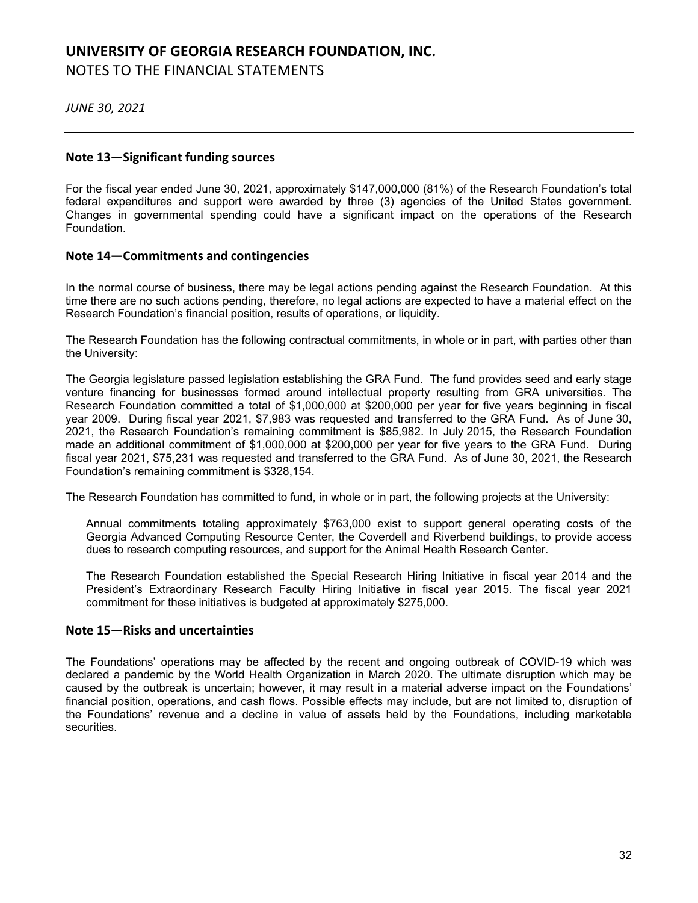# **UNIVERSITY OF GEORGIA RESEARCH FOUNDATION, INC.** NOTES TO THE FINANCIAL STATEMENTS

*JUNE 30, 2021*

# **Note 13—Significant funding sources**

For the fiscal year ended June 30, 2021, approximately \$147,000,000 (81%) of the Research Foundation's total federal expenditures and support were awarded by three (3) agencies of the United States government. Changes in governmental spending could have a significant impact on the operations of the Research Foundation.

# **Note 14—Commitments and contingencies**

In the normal course of business, there may be legal actions pending against the Research Foundation. At this time there are no such actions pending, therefore, no legal actions are expected to have a material effect on the Research Foundation's financial position, results of operations, or liquidity.

The Research Foundation has the following contractual commitments, in whole or in part, with parties other than the University:

The Georgia legislature passed legislation establishing the GRA Fund. The fund provides seed and early stage venture financing for businesses formed around intellectual property resulting from GRA universities. The Research Foundation committed a total of \$1,000,000 at \$200,000 per year for five years beginning in fiscal year 2009. During fiscal year 2021, \$7,983 was requested and transferred to the GRA Fund. As of June 30, 2021, the Research Foundation's remaining commitment is \$85,982. In July 2015, the Research Foundation made an additional commitment of \$1,000,000 at \$200,000 per year for five years to the GRA Fund. During fiscal year 2021, \$75,231 was requested and transferred to the GRA Fund. As of June 30, 2021, the Research Foundation's remaining commitment is \$328,154. tions pending, therefore, no legal actions are expected to have<br>anncial position, results of operations, or liquidity.<br>
The fund provisions of the following contractual commitments, in whole or in pa<br>
sisses formed around

The Research Foundation has committed to fund, in whole or in part, the following projects at the University:

Annual commitments totaling approximately \$763,000 exist to support general operating costs of the Georgia Advanced Computing Resource Center, the Coverdell and Riverbend buildings, to provide access dues to research computing resources, and support for the Animal Health Research Center.

The Research Foundation established the Special Research Hiring Initiative in fiscal year 2014 and the President's Extraordinary Research Faculty Hiring Initiative in fiscal year 2015. The fiscal year 2021 commitment for these initiatives is budgeted at approximately \$275,000.

# **Note 15—Risks and uncertainties**

The Foundations' operations may be affected by the recent and ongoing outbreak of COVID-19 which was declared a pandemic by the World Health Organization in March 2020. The ultimate disruption which may be caused by the outbreak is uncertain; however, it may result in a material adverse impact on the Foundations' financial position, operations, and cash flows. Possible effects may include, but are not limited to, disruption of the Foundations' revenue and a decline in value of assets held by the Foundations, including marketable securities.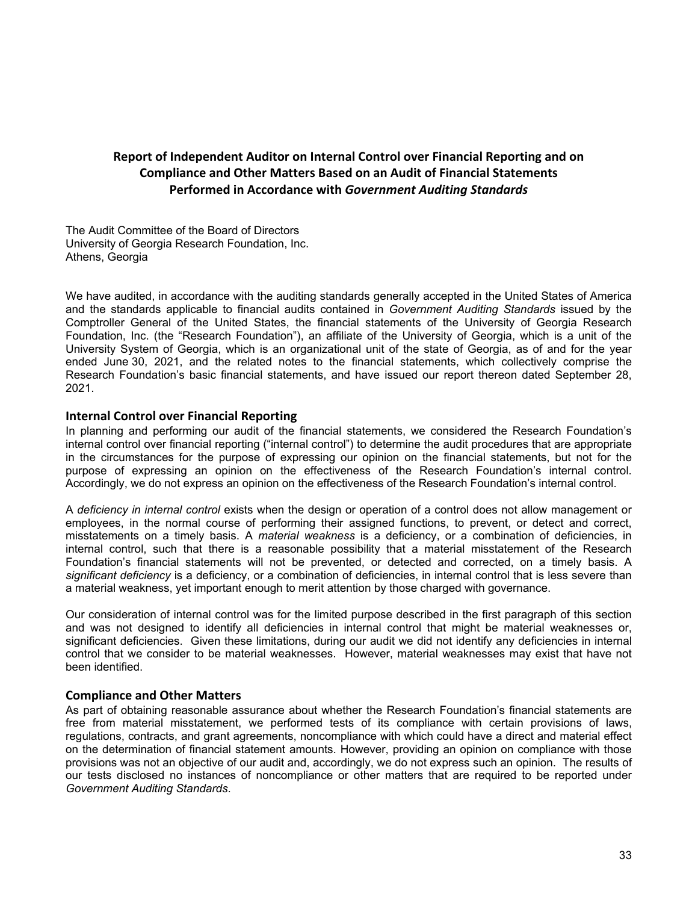# **Report of Independent Auditor on Internal Control over Financial Reporting and on Compliance and Other Matters Based on an Audit of Financial Statements Performed in Accordance with** *Government Auditing Standards*

The Audit Committee of the Board of Directors University of Georgia Research Foundation, Inc. Athens, Georgia

We have audited, in accordance with the auditing standards generally accepted in the United States of America and the standards applicable to financial audits contained in *Government Auditing Standards* issued by the Comptroller General of the United States, the financial statements of the University of Georgia Research Foundation, Inc. (the "Research Foundation"), an affiliate of the University of Georgia, which is a unit of the University System of Georgia, which is an organizational unit of the state of Georgia, as of and for the year ended June 30, 2021, and the related notes to the financial statements, which collectively comprise the Research Foundation's basic financial statements, and have issued our report thereon dated September 28, 2021. rdance with the auditing standards generally accepted in the table to financial auditing contained in Government Auditing<br>the United States, the financial statements of the University<br>sesearch Foundation"), an affiliate of

### **Internal Control over Financial Reporting**

In planning and performing our audit of the financial statements, we considered the Research Foundation's internal control over financial reporting ("internal control") to determine the audit procedures that are appropriate in the circumstances for the purpose of expressing our opinion on the financial statements, but not for the purpose of expressing an opinion on the effectiveness of the Research Foundation's internal control. Accordingly, we do not express an opinion on the effectiveness of the Research Foundation's internal control.

A *deficiency in internal control* exists when the design or operation of a control does not allow management or employees, in the normal course of performing their assigned functions, to prevent, or detect and correct, misstatements on a timely basis. A *material weakness* is a deficiency, or a combination of deficiencies, in internal control, such that there is a reasonable possibility that a material misstatement of the Research Foundation's financial statements will not be prevented, or detected and corrected, on a timely basis. A *significant deficiency* is a deficiency, or a combination of deficiencies, in internal control that is less severe than a material weakness, yet important enough to merit attention by those charged with governance.

Our consideration of internal control was for the limited purpose described in the first paragraph of this section and was not designed to identify all deficiencies in internal control that might be material weaknesses or, significant deficiencies. Given these limitations, during our audit we did not identify any deficiencies in internal control that we consider to be material weaknesses. However, material weaknesses may exist that have not been identified.

#### **Compliance and Other Matters**

As part of obtaining reasonable assurance about whether the Research Foundation's financial statements are free from material misstatement, we performed tests of its compliance with certain provisions of laws, regulations, contracts, and grant agreements, noncompliance with which could have a direct and material effect on the determination of financial statement amounts. However, providing an opinion on compliance with those provisions was not an objective of our audit and, accordingly, we do not express such an opinion. The results of our tests disclosed no instances of noncompliance or other matters that are required to be reported under *Government Auditing Standards*.